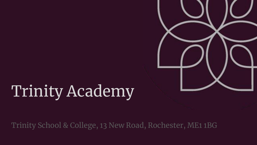# Trinity Academy

Trinity School & College, 13 New Road, Rochester, ME1 1BG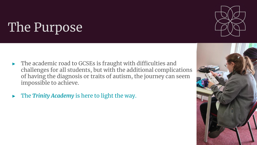# The Purpose

- ► The academic road to GCSEs is fraught with difficulties and challenges for all students, but with the additional complications of having the diagnosis or traits of autism, the journey can seem impossible to achieve.
- ► The *Trinity Academy* is here to light the way.



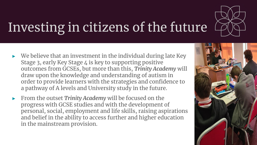

# Investing in citizens of the future

- We believe that an investment in the individual during late Key Stage 3, early Key Stage 4 is key to supporting positive outcomes from GCSEs, but more than this, *Trinity Academy* will draw upon the knowledge and understanding of autism in order to provide learners with the strategies and confidence to a pathway of A levels and University study in the future.
- ► From the outset *Trinity Academy* will be focused on the progress with GCSE studies and with the development of personal, social, employment and life skills, raising aspirations and belief in the ability to access further and higher education in the mainstream provision.

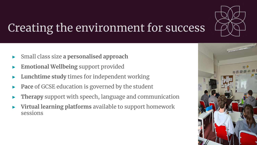

## Creating the environment for success

- ► Small class size **a personalised approach**
- ► **Emotional Wellbeing** support provided
- **Lunchtime study times for independent working**
- Pace of GCSE education is governed by the student
- Therapy support with speech, language and communication
- ► **Virtual learning platforms** available to support homework sessions

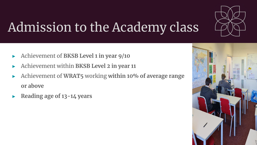

# Admission to the Academy class

- ► Achievement of **BKSB Level 1 in year 9/10**
- ► Achievement within **BKSB Level 2 in year 11**
- ► Achievement of **WRAT5** working **within 10% of average range or above**
- ► **Reading age of 13-14 years**

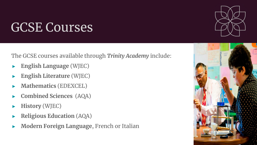### GCSE Courses

The GCSE courses available through *Trinity Academy* include:

- ► **English Language** (WJEC)
- ► **English Literature** (WJEC)
- ► **Mathematics** (EDEXCEL)
- ► **Combined Sciences** (AQA)
- ► **History** (WJEC)
- ► **Religious Education** (AQA)
- ► **Modern Foreign Language**, French or Italian

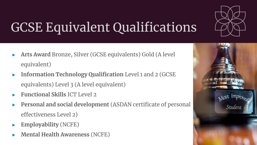

# GCSE Equivalent Qualifications

- ► **Arts Award** Bronze, Silver (GCSE equivalents) Gold (A level equivalent)
- ► **Information Technology Qualification** Level 1 and 2 (GCSE equivalents) Level 3 (A level equivalent)
- ► **Functional Skills** ICT Level 2
- ► **Personal and social development** (ASDAN certificate of personal effectiveness Level 2)
- ► **Employability** (NCFE)
- ► **Mental Health Awareness** (NCFE)

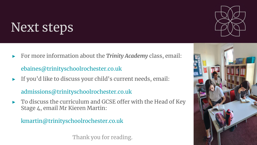## Next steps



[ebaines@trinityschoolrochester.co.uk](mailto:ebaines@trinityschoolrochester.co.uk)

If you'd like to discuss your child's current needs, email:

[admissions@trinityschoolrochester.co.uk](mailto:admissions@trinityschoolrochester.co.uk) 

To discuss the curriculum and GCSE offer with the Head of Key Stage 4, email Mr Kieren Martin:

[kmartin@trinityschoolrochester.co.uk](mailto:kmartin@trinityschoolrochester.co.uk)

Thank you for reading.



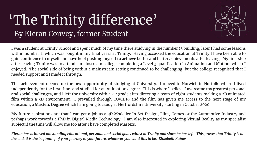#### 'The Trinity difference' By Kieran Convey, former Student



I was a student at Trinity School and spent much of my time there studying in the number 13 building, later I had some lessons within number 11 which was bought in my final years at Trinity. Having accessed the education at Trinity I have been able to **gain confidence in myself** and have kept **pushing myself to achieve better and better achievements** after leaving. My first step after leaving Trinity was to attend a mainstream college completing a Level 3 qualification in Animation and Motion, which I enjoyed. The social side of being within a mainstream setting continued to be challenging, but the college recognised that I needed support and I made it through.

This achievement opened up the **next opportunity of studying at University**. I moved to Norwich in Norfolk, where I **lived independently** for the first time, and studied for an Animation degree. This is where I believe I **overcame my greatest personal and social challenges**, and I left the university with a 2.2 grade after directing a team of eight students making a 2D animated film within a 3D environment. I prevailed through COVID19 and the film has given me access to the next stage of my education, **a Masters Degree** which I am going to study at Hertfordshire University starting in October 2020.

My future aspirations are that I can get a job as a 3D Modeller In Set Design, Film, Games or the Automotive Industry and perhaps work towards a PhD in Digital Media Technology. I am also interested in exploring Virtual Reality as my specialist subject if the time will allow me too after I have completed Masters.

Kieran has achieved outstanding educational, personal and social goals whilst at Trinity and since he has left. This proves that Trinity is not the end, it is the beginning of your journey to your future, whatever you want this to be. Elizabeth Baines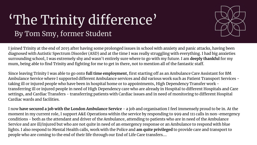#### 'The Trinity difference' By Tom Smy, former Student



I joined Trinity at the end of 2015 after having some prolonged issues in school with anxiety and panic attacks, having been diagnosed with Autistic Spectrum Disorder (ASD) and at the time I was really struggling with everything. I had big anxieties surrounding school, I was extremely shy and wasn't entirely sure where to go with my future. I am **deeply thankful** for my mum, being able to find Trinity and fighting for me to get in there, not to mention all of the fantastic staff.

Since leaving Trinity I was able to go onto **full time employment**, first starting off as an Ambulance Care Assistant for BM Ambulance Service where I supported different Ambulance services and did various work such as Patient Transport Services taking ill or injured people who have been in hospital home or to appointments, High Dependency Transfer work transferring ill or injured people in need of High Dependency care who are already in Hospital to different Hospitals and Care settings, and Cardiac Transfers - transferring patients with Cardiac issues and in need of monitoring to different Hospital Cardiac wards and facilities.

I now **have secured a job with the London Ambulance Service** - a job and organisation I feel immensely proud to be in. At the moment in my current role, I support A&E Operations within the service by responding to 999 and 111 calls in non-emergency conditions - both as the attendant and driver of the Ambulance, attending to patients who are in need of the Ambulance Service and are ill/injured but who are not quite in need of an emergency response or an Ambulance to respond with blue lights. I also respond to Mental Health calls, work with the Police and **am quite privileged** to provide care and transport to people who are coming to the end of their life through our End of Life Care transfers….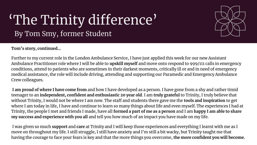### 'The Trinity difference' By Tom Smy, former Student



**Tom's story, continued…**

Further to my current role in the London Ambulance Service, I have just applied this week for our new Assistant Ambulance Practitioner role where I will be able to **upskill myself** and move onto respond to 999/111 calls in emergency conditions, attend to patients who are sometimes in their darkest moments, critically ill or and in need of emergency medical assistance, the role will include driving, attending and supporting our Paramedic and Emergency Ambulance Crew colleagues.

**I am proud of where I have come from** and how I have developed as a person. I have gone from a shy and rather timid teenager to an **independent, confident and enthusiastic 20 year old**. I am **truly grateful** to Trinity, I truly believe that without Trinity, I would not be where I am now. The staff and students there gave me the **tools and inspiration** to get where I am today in life, I have and continue to learn so many things about life and even myself. The experiences I had at Trinity, the people I met and friends I made, have all **formed a part of me as a person** and I am **happy I am able to share my success and experience with you all** and tell you how much of an impact you have made on my life.

I was given so much **support** and **care** at Trinity and I will keep those experiences and everything I learnt with me as I move on throughout my life. I still struggle, I still have anxiety and I'm still a bit wacky, but Trinity taught me that having the courage to face your fears is key and that the more things you overcome, **the more confident you will become.**